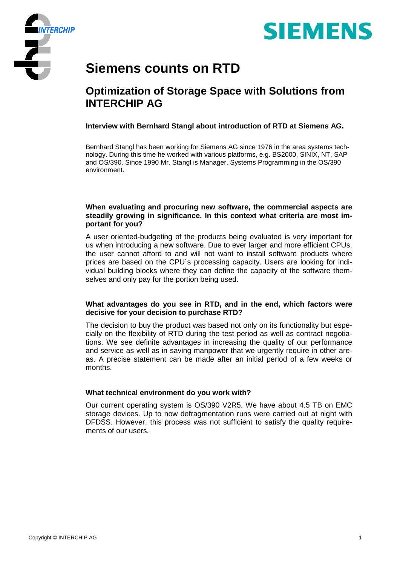



# **Siemens counts on RTD**

# **Optimization of Storage Space with Solutions from INTERCHIP AG**

**Interview with Bernhard Stangl about introduction of RTD at Siemens AG.**

Bernhard Stangl has been working for Siemens AG since 1976 in the area systems technology. During this time he worked with various platforms, e.g. BS2000, SINIX, NT, SAP and OS/390. Since 1990 Mr. Stangl is Manager, Systems Programming in the OS/390 environment.

#### **When evaluating and procuring new software, the commercial aspects are steadily growing in significance. In this context what criteria are most important for you?**

A user oriented-budgeting of the products being evaluated is very important for us when introducing a new software. Due to ever larger and more efficient CPUs, the user cannot afford to and will not want to install software products where prices are based on the CPU´s processing capacity. Users are looking for individual building blocks where they can define the capacity of the software themselves and only pay for the portion being used.

#### **What advantages do you see in RTD, and in the end, which factors were decisive for your decision to purchase RTD?**

The decision to buy the product was based not only on its functionality but especially on the flexibility of RTD during the test period as well as contract negotiations. We see definite advantages in increasing the quality of our performance and service as well as in saving manpower that we urgently require in other areas. A precise statement can be made after an initial period of a few weeks or months.

## **What technical environment do you work with?**

Our current operating system is OS/390 V2R5. We have about 4.5 TB on EMC storage devices. Up to now defragmentation runs were carried out at night with DFDSS. However, this process was not sufficient to satisfy the quality requirements of our users.